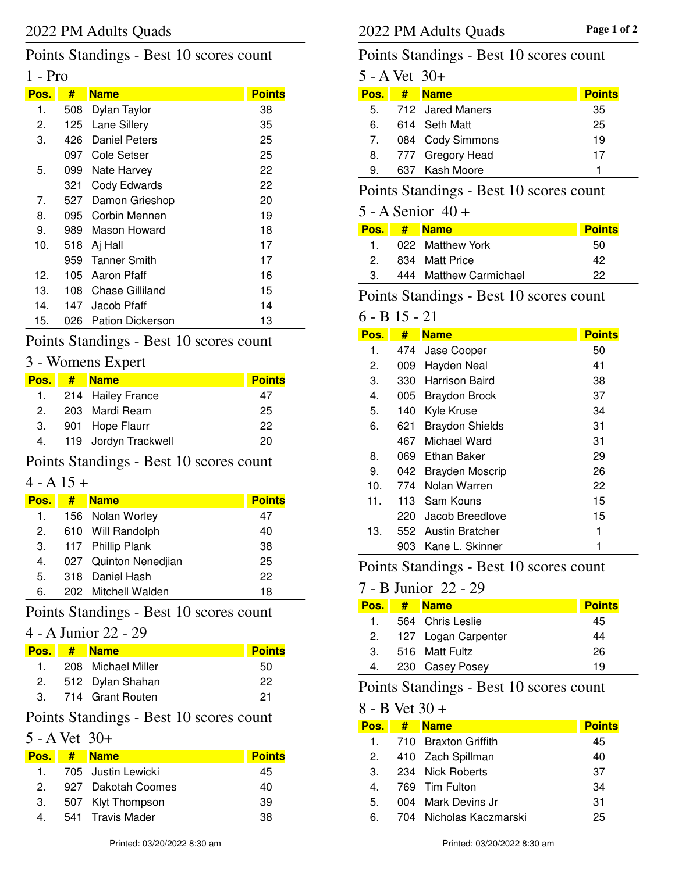Points Standings - Best 10 scores count

# 1 - Pro

| Pos. | #   | <b>Name</b>         | <b>Points</b> |
|------|-----|---------------------|---------------|
| 1.   | 508 | Dylan Taylor        | 38            |
| 2.   | 125 | Lane Sillery        | 35            |
| 3.   | 426 | Daniel Peters       | 25            |
|      | 097 | Cole Setser         | 25            |
| 5.   | 099 | Nate Harvey         | 22            |
|      | 321 | Cody Edwards        | 22            |
| 7.   | 527 | Damon Grieshop      | 20            |
| 8.   | 095 | Corbin Mennen       | 19            |
| 9.   | 989 | Mason Howard        | 18            |
| 10.  | 518 | Aj Hall             | 17            |
|      | 959 | <b>Tanner Smith</b> | 17            |
| 12.  | 105 | Aaron Pfaff         | 16            |
| 13.  | 108 | Chase Gilliland     | 15            |
| 14.  | 147 | Jacob Pfaff         | 14            |
| 15.  | 026 | Pation Dickerson    | 13            |

# Points Standings - Best 10 scores count

# 3 - Womens Expert

|   | Pos. # Name             | <b>Points</b> |
|---|-------------------------|---------------|
|   | 1. 214 Hailey France    | 47            |
| 2 | 203 Mardi Ream          | 25            |
|   | 3. 901 Hope Flaurr      | 22            |
|   | 4. 119 Jordyn Trackwell | 20            |

## Points Standings - Best 10 scores count

### $4 - A 15 +$

| Pos. | # | <b>Name</b>           | <b>Points</b> |
|------|---|-----------------------|---------------|
| 1.   |   | 156 Nolan Worley      | 47            |
| 2.   |   | 610 Will Randolph     | 40            |
| 3.   |   | 117 Phillip Plank     | 38            |
| 4.   |   | 027 Quinton Nenedjian | 25            |
| 5.   |   | 318 Daniel Hash       | 22            |
| 6.   |   | 202 Mitchell Walden   | 18            |

## Points Standings - Best 10 scores count

### 4 - A Junior 22 - 29

| <b>Pos.</b> | # Name              | <b>Points</b> |
|-------------|---------------------|---------------|
| $\mathbf 1$ | 208 Michael Miller  | 50            |
|             | 2. 512 Dylan Shahan | 22            |
|             | 714 Grant Routen    | 21            |

# Points Standings - Best 10 scores count

### 5 - A Vet 30+

| Pos. I    | $#$ Name             | <b>Points</b> |
|-----------|----------------------|---------------|
| $1 \quad$ | 705   Justin Lewicki | 45            |
| 2.        | 927 Dakotah Coomes   | 40            |
| 3.        | 507 Klyt Thompson    | 39            |
| 4.        | 541 Travis Mader     | 38            |

# Points Standings - Best 10 scores count

| 5 - A Vet 30+ |  |                     |               |  |
|---------------|--|---------------------|---------------|--|
| Pos.          |  | # Name              | <b>Points</b> |  |
|               |  | 5. 712 Jared Maners | 35            |  |
| 6.            |  | 614 Seth Matt       | 25            |  |
| 7.            |  | 084 Cody Simmons    | 19            |  |
|               |  | 8. 777 Gregory Head | 17            |  |
| 9.            |  | 637 Kash Moore      |               |  |

# Points Standings - Best 10 scores count

### 5 - A Senior 40 +

|              | Pos. # Name            | <b>Points</b> |
|--------------|------------------------|---------------|
| $\mathbf{1}$ | 022 Matthew York       | 50            |
| 2.           | 834 Matt Price         | 42            |
| 3.           | 444 Matthew Carmichael | つつ            |

## Points Standings - Best 10 scores count

# 6 - B 15 - 21

| Pos. | #    | <b>Name</b>            | <b>Points</b> |
|------|------|------------------------|---------------|
| 1.   | 474  | Jase Cooper            | 50            |
| 2.   | 009  | Hayden Neal            | 41            |
| З.   | 330  | Harrison Baird         | 38            |
| 4.   | 005  | <b>Braydon Brock</b>   | 37            |
| 5.   | 140  | Kyle Kruse             | 34            |
| 6.   | 621  | <b>Braydon Shields</b> | 31            |
|      | 467. | Michael Ward           | 31            |
| 8.   | 069  | Ethan Baker            | 29            |
| 9.   |      | 042 Brayden Moscrip    | 26            |
| 10.  | 774  | Nolan Warren           | 22            |
| 11.  | 113  | Sam Kouns              | 15            |
|      | 220  | Jacob Breedlove        | 15            |
| 13.  |      | 552 Austin Bratcher    | 1             |
|      | 903  | Kane L. Skinner        |               |

## Points Standings - Best 10 scores count

# 7 - B Junior 22 - 29

| Pos. # | <b>Name</b>         | <b>Points</b> |
|--------|---------------------|---------------|
| 1.     | 564 Chris Leslie    | 45            |
| 2.     | 127 Logan Carpenter | 44            |
| 3.     | 516 Matt Fultz      | 26            |
| 4.     | 230 Casey Posey     | 19            |

# Points Standings - Best 10 scores count

#### 8 - B Vet 30 +

| Pos. I | # Name                  | <b>Points</b> |
|--------|-------------------------|---------------|
|        | 1. 710 Braxton Griffith | 45            |
| 2.     | 410 Zach Spillman       | 40            |
| 3.     | 234 Nick Roberts        | 37            |
| 4.     | 769 Tim Fulton          | 34            |
| 5.     | 004 Mark Devins Jr      | 31            |
| 6.     | 704 Nicholas Kaczmarski | 25            |